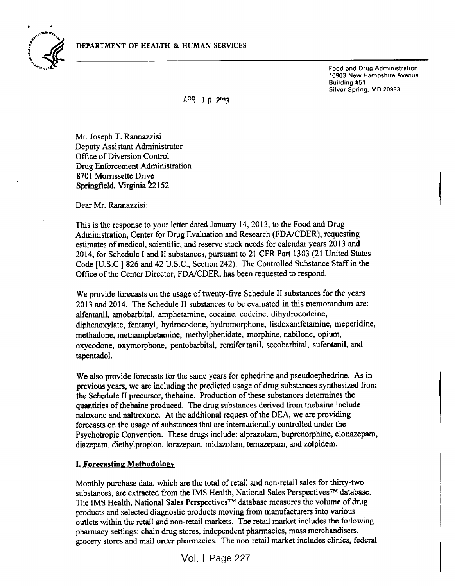

Food and Drug Administration 10903 New Hampshire Avenue Building #31 Silver Spring, MD 20993

APR 1  $n$   $2$ *m*<sub>3</sub>

Mr. Joseph T. Rannazzisi Deputy Assistant Administrator Office of Diversion Control Drug Enforcement Administration 8701 Morrissette Drive Springfield, Virginia 22152

Dear Mr. Rannazzisi:

This is the response to your letter dated January 14, 2013, to the Food and Drug Administration, Center for Drug Evaluation and Research (FDA/CDER), requesting estimates of medical, scientific, and reserve stock needs for calendar years 2013 and 2014, for Schedule I and II substances, pursuant to 21 CFR Part 1303 (21 United States Code [U.S.C.] <sup>826</sup> and <sup>42</sup> U.S.C., Section 242). The Controlled Substance Staff in the Office of the Center Director, FDA/CDER, has been requested to respond.

We provide forecasts on the usage of twenty-five Schedule II substances for the years 2013 and 2014. The Schedule II substances to be evaluated in this memorandum are: alfentanil, amobarbital, amphetamine, cocaine, codeine, dihydrocodeine, diphenoxylate, fentanyl, hydrocodone, hydromorphone, lisdexamfetamine, meperidine, methadone, methamphetamine, methylphenidate, morphine, nabilone, opium, oxycodone, oxymorphone, pentobarbital, remifentanil, secobarbital, sufentanil, and tapentadol.

We also provide forecasts for the same years for ephedrine and pseudoephedrine. As in previous years, we are including the predicted usage of drug substances synthesized from the Schedule II precursor, thebaine. Production of these substances determines the quantities of thebaine produced. The drug substances derived from thebaine include naloxone and naltrexone. At the additional request of the DEA, we are providing forecasts on the usage of substances that are internationally controlled under the Psychotropic Convention. These drugs include: alprazolam, buprenorphine, clonazepam, diazepam, diethylpropion, lorazepam, midazolam, temazepam, and Zolpidem.

### I. Forecasting Methodology

Monthly purchase data, which are the total of retail and non-retail sales for thirty-two substances, are extracted from the IMS Health, National Sales Perspectives™ database. The IMS Health, National Sales Perspectives™ database measures the volume of drug products and selected diagnostic products moving from manufacturers into various outlets within the retail and non-retail markets. The retail market includes the following pharmacy settings: chain drug stores, independent pharmacies, mass merchandisers, grocery stores and mail order pharmacies. The non-retail market includes clinics, federal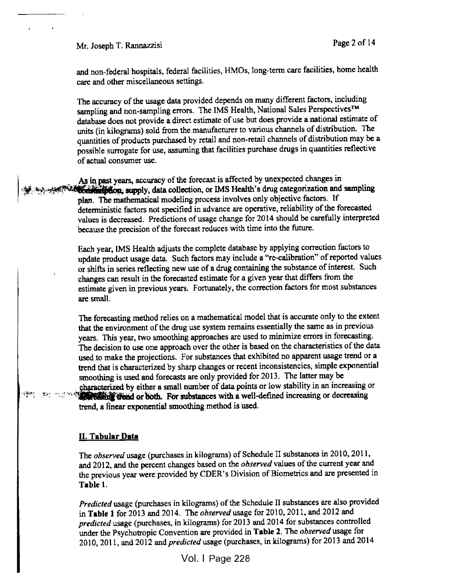Mr. Joseph T. Rannazzisi Page 2 of 14

and non-federal hospitals, federal facilities, HMOs, long-terra care facilities, home health care and other miscellaneous settings.

The accuracy of the usage data provided depends on many different factors, including sampling and non-sampling errors. The IMS Health, National Sales Perspectives™ database does not provide <sup>a</sup> direct estimate of use but does provide <sup>a</sup> national estimate of units (in kilograms) sold from the manufacturer to various channels of distribution. The quantities of products purchased by retail and non-retail channels of distribution may be a possible surrogate for use, assuming that facilities purchase drugs in quantities reflective of actual consumer use.

As in past years, accuracy of the forecast is affected by unexpected changes in supply, data collection, or IMS Health's drug categorization and sampling plan. The mathematical modeling process involves only objective factors. If deterministic factors not specified in advance are operative, reliability of the forecasted values is decreased. Predictions of usage change for <sup>2014</sup> should be carefully interpreted because the precision of the forecast reduces with time into the future.

> Each year, IMS Health adjusts the complete database by applying correction factors to update product usage data. Such factors may include a "re-calibration" of reported values or shifts in series reflecting new use of <sup>a</sup> drug containing the substance of interest. Such changes can result in the forecasted estimate for <sup>a</sup> given year that differs from the estimate given in previous years. Fortunately, the correction factors for most substances are small.

The forecasting method relies on <sup>a</sup> mathematical model that is accurate only to the extent that the environment of the drug use system remains essentially the same as in previous years. This year, two smoothing approaches are used to minimize errors in forecasting. The decision to use one approach over the other is based on the characteristics of the data used to make the projections. For substances that exhibited no apparent usage trend or <sup>a</sup> trend that is characterized by sharp changes or recent inconsistencies, simple exponential smoothing is used and forecasts are only provided for 2013. The latter may be characterized by either <sup>a</sup> small number of data points or low stability in an increasing or **Contract the solution**. For substances with a well-defined increasing or decreasing trend, <sup>a</sup> linear exponential smoothing method is used.

#### II. Tabular Data

The observed usage (purchases in kilograms) of Schedule II substances in 2010, 2011, and 2012, and the percent changes based on the *observed* values of the current year and the previous year were provided by CDER's Division of Biometrics and are presented in Table 1.

Predicted usage (purchases in kilograms) of the Schedule II substances are also provided in Table 1 for 2013 and 2014. The observed usage for 2010, 2011, and 2012 and predicted usage (purchases, in kilograms) for <sup>2013</sup> and <sup>2014</sup> for substances controlled under the Psychotropic Convention are provided in Table 2. The observed usage for 2010, 2011, and 2012 and *predicted* usage (purchases, in kilograms) for 2013 and 2014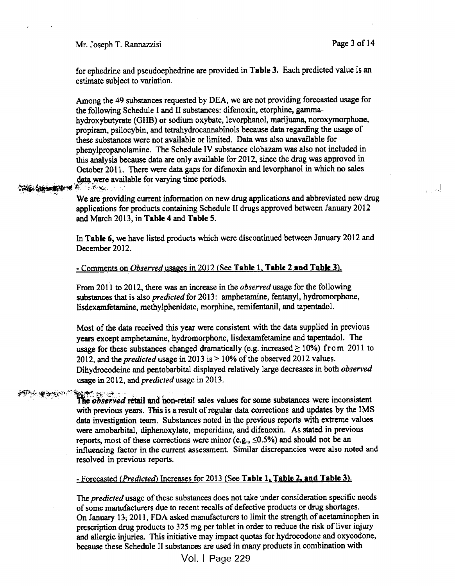Mr. Joseph T. Rannazzisi Page 3 of 14

for ephedrine and pseudoephedrine are provided in Table 3. Each predicted value is an estimate subject to variation.

Among the <sup>49</sup> substances requested by DEA, we are not providing forecasted usage for the following Schedule I and II substances: difenoxin, etorphine, gammahydroxybutyrate (GHB) or sodium oxybate, levorphanol, marijuana, noroxymorphone, propiram, psilocybin, and tetrahydrocannabinols because data regarding the usage of these substances were not available or limited. Data was also unavailable for phenylpropanolamine. The Schedule IV substance clobazam was also not included in this analysis because data are only available for 2012, since the drug was approved in October 2011. There were data gaps for difenoxin and levorphanol in which no sales data were available for varying time periods.

**THE SHOW TO** 

We are providing current information on new drug applications and abbreviated new drug applications for products containing Schedule II drugs approved between January <sup>2012</sup> and March 2013, in Table 4 and Table 5.

In Table 6, we have listed products which were discontinued between January 2012 and December 2012.

#### - Comments on *Observed* usages in 2012 (See Table 1, Table 2 and Table 3).

From 2011 to 2012, there was an increase in the *observed* usage for the following substances that is also *predicted* for 2013: amphetamine, fentanyl, hydromorphone, lisdexamfetamine, methylphenidate, morphine, remifentanil, and tapentadol.

Most of the data received this year were consistent with the data supplied in previous years except amphetamine, hydromorphone, lisdexamfetamine and tapentadol. The usage for these substances changed dramatically (e.g. increased  $\geq 10\%$ ) from 2011 to 2012, and the *predicted* usage in 2013 is  $\geq$  10% of the observed 2012 values. Dihydrocodeine and pentobarbital displayed relatively large decreases in both observed usage in 2012, and predicted usage in 2013.

## 女優女優に?

The observed retail and non-retail sales values for some substances were inconsistent with previous years. This is a result of regular data corrections and updates by the IMS data investigation team. Substances noted in the previous reports with extreme values were amobarbital, diphenoxylate, meperidine, and difenoxin. As stated in previous reports, most of these corrections were minor (e.g.,  $\leq 0.5\%$ ) and should not be an influencing factor in the current assessment. Similar discrepancies were also noted and resolved in previous reports.

#### $-$  Forecasted (Predicted) Increases for 2013 (See Table 1, Table 2, and Table 3).

The *predicted* usage of these substances does not take under consideration specific needs of some manufacturers due to recent recalls of defective products or drug shortages. On January 13; <sup>201</sup> 1, FDA asked manufacturers to limit the strength of acetaminophen in prescription drug products to 325 mg per tablet in order to reduce the risk of liver injury and allergic injuries. This initiative may impact quotas for hydrocodone and oxycodone, because these Schedule II substances are used in many products in combination with

Vol. I Vol. I Page 229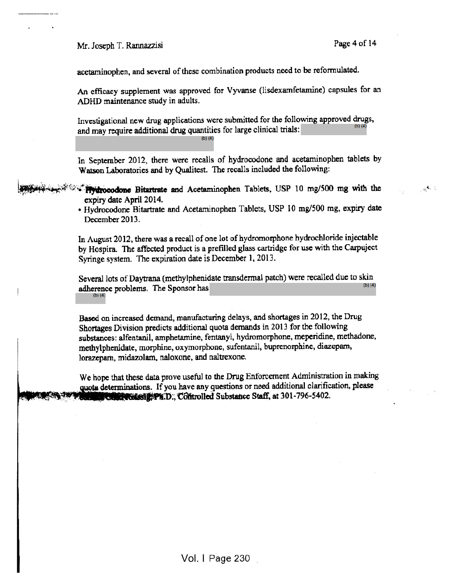Mr. Joseph T. Rannazzisi Page 4 of 14

!

 $\delta^{\mathbf{A}_n}_{\mathbf{a}}$  :

acetaminophen, and several of these combination products need to be reformulated.

An efficacy supplement was approved for Vyvanse (lisdexamfetamine) capsules for an ADHD maintenance study in adults.

Investigational new drug applications were submitted for the following approved drugs, and may require additional drug quantities for large clinical trials:  $(b)$  $(4)$ 

In September 2012, there were recalls of hydrocodone and acetaminophen tablets by Watson Laboratories and by Qualitest. The recalls included the following:

- <sup>&</sup>gt; v-Ftyfrooodone Bitartrate and Acetaminophen Tablets, USP <sup>10</sup> mg/500 mg with the expiry date April 2014.
	- Hydrocodone Bitartrate and Acetaminophen Tablets, USP <sup>10</sup> mg/500 mg, expiry date December 2013.

In August 2012, there was <sup>a</sup> recall of one lot of hydromorphone hydrochloride injectable by Hospira. The affected product is <sup>a</sup> prefilled glass cartridge for use with the Carpuject Syringe system. The expiration date is December 1, 2013.

Several lots of Daytrana (methylphenidate transdermal patch) were recalled due to skin<br>lower problems. The Spences has adherence problems. The Sponsor has (b)(4)

Based on increased demand, manufacturing delays, and shortages in 2012, the Drug Shortages Division predicts additional quota demands in <sup>2013</sup> for the following substances: alfentanil, amphetamine, fentanyl, hydromorphone, meperidine, methadone, methylphenidate, morphine, oxymorphone, sufentanil, buprenorphine, diazepam, lorazepam, midazolam, naloxone, and naltrexone.

We hope that these data prove useful to the Drug Enforcement Administration in making quota determinations. If you have any questions or need additional clarification, please **University Ph.D., Controlled Substance Staff, at 301-796-5402.**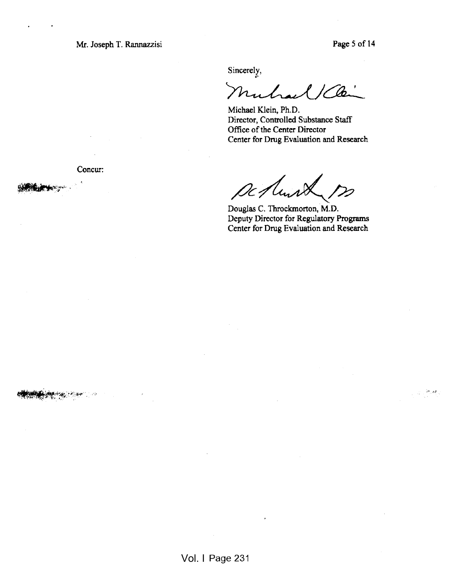Mr. Joseph T. Rannazzisi Page 5 of 14

 $\label{eq:2} \frac{1}{\sqrt{2}}\frac{2\theta_1}{\sqrt{2}}d\theta$ 

Sincerely,

Mulrael 1 Cle

Michael Klein, Ph.D. Director, Controlled Substance Staff Office of the Center Director Center for Drug Evaluation and Research

Concur:

IC 1

Douglas C. Throckmorton, M.D. Deputy Director for Regulatory Programs Center for Drug Evaluation and Research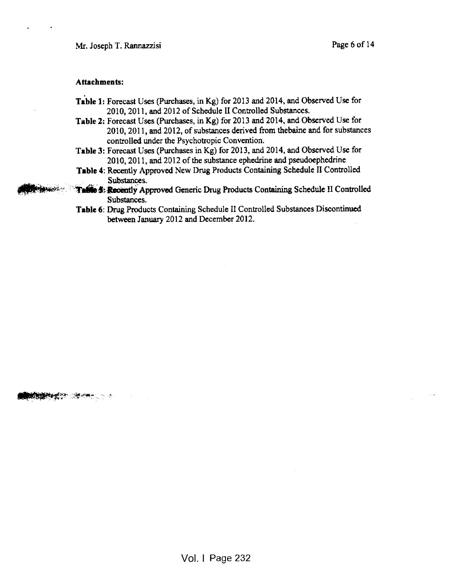#### Attachments:

- Table 1: Forecast Uses (Purchases, in Kg) for 2013 and 2014, and Observed Use for 2010, 2011, and 2012 of Schedule II Controlled Substances.
- Table 2: Forecast Uses (Purchases, in Kg) for 2013 and 2014, and Observed Use for 2010, 201 1, and 2012, of substances derived from thebaine and for substances controlled under the Psychotropic Convention.
- Table 3: Forecast Uses (Purchases in Kg) for 2013, and 2014, and Observed Use for 2010, 2011, and 2012 of the substance ephedrine and pseudoephedrine
- Table 4: Recently Approved New Drug Products Containing Schedule II Controlled Substances.
- Table 5: Recently Approved Generic Drug Products Containing Schedule II Controlled Substances.
- Table 6: Drug Products Containing Schedule II Controlled Substances Discontinued between January 2012 and December 2012.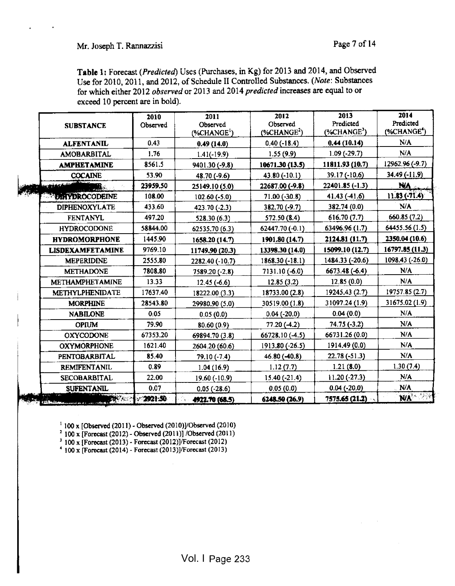Table 1: Forecast (Predicted) Uses (Purchases, in Kg) for <sup>2013</sup> and 2014, and Observed Use for 2010, 2011, and 2012, of Schedule II Controlled Substances. (Note: Substances for which either 2012 observed or 2013 and 2014 predicted increases are equal to or exceed 10 percent are in bold).

| <b>SUBSTANCE</b>        | 2010<br>Observed | 2011<br>Observed<br>$(\%CHANGE^1)$ | 2012<br>Observed<br>$(*CHANGE2)$ | 2013<br>Predicted<br>$(*CHANGE3)$ | 2014<br>Predicted<br>(%CHANGE <sup>4</sup> ) |
|-------------------------|------------------|------------------------------------|----------------------------------|-----------------------------------|----------------------------------------------|
| <b>ALFENTANIL</b>       | 0.43             | 0.49(14.0)                         | $0.40(-18.4)$                    | 0.44(10.14)                       | N/A                                          |
| <b>AMOBARBITAL</b>      | 1.76             | $1.41(-19.9)$                      | 1.55(9.9)                        | $1.09(-29.7)$                     | N/A                                          |
| <b>AMPHETAMINE</b>      | 8561.5           | 9401.30 (-9.8)                     | 10671.30 (13.5)                  | 11811.93 (10.7)                   | 12962.96 (-9.7)                              |
| <b>COCAINE</b>          | 53.90            | 48.70 (-9.6)                       | 43.80 (-10.1)                    | $39.17(-10.6)$                    | $34.49(-11.9)$                               |
| فتنكتم فيعرينا<br>M.    | 23959.50         | 25149.10 (5.0)                     | 22687.00 (-9.8)                  | 22401.85 (-1.3)                   | <b>NA</b>                                    |
| <b>SYDIAYDROCODEINE</b> | 108.00           | $102.60(-5.0)$                     | $71.00(-30.8)$                   | 41.43(41.6)                       | $11.83 (-71.4)$                              |
| <b>DIPHENOXYLATE</b>    | 433.60           | 423.70 (-2.3)                      | 382.70 (-9.7)                    | 382.74 (0.0)                      | N/A                                          |
| <b>FENTANYL</b>         | 497.20           | 528.30 (6.3)                       | 572.50 (8.4)                     | 616.70(7.7)                       | 660.85 (7.2)                                 |
| <b>HYDROCODONE</b>      | 58844.00         | 62535.70 (6.3)                     | 62447.70 (-0.1)                  | 63496.96 (1.7)                    | 64455.56 (1.5)                               |
| <b>HYDROMORPHONE</b>    | 1445.90          | 1658.20 (14.7)                     | 1901.80 (14.7)                   | 2124.81 (11.7)                    | 2350.04 (10.6)                               |
| <b>LISDEXAMFETAMINE</b> | 9769.10          | 11749.90 (20.3)                    | 13398.30 (14.0)                  | 15099.10 (12.7)                   | 16797.85 (11.3)                              |
| <b>MEPERIDINE</b>       | 2555.80          | 2282.40 (-10.7)                    | 1868.30 (-18.1)                  | 1484.33 (-20.6)                   | 1098.43 (-26.0)                              |
| <b>METHADONE</b>        | 7808.80          | 7589.20 (-2.8)                     | 7131.10 (-6.0)                   | 6673.48 (-6.4)                    | N/A                                          |
| <b>METHAMPHETAMINE</b>  | 13.33            | $12.45(-6.6)$                      | 12.85(3.2)                       | 12.85 (0.0)                       | N/A                                          |
| <b>METHYLPHENIDATE</b>  | 17637.40         | 18222.00 (3.3)                     | 18733.00 (2.8)                   | 19245.43 (2.7)                    | 19757.85 (2.7)                               |
| <b>MORPHINE</b>         | 28543.80         | 29980.90 (5.0)                     | 30519.00 (1.8)                   | 31097.24 (1.9)                    | 31675.02 (1.9)                               |
| <b>NABILONE</b>         | 0.05             | 0.05(0.0)                          | $0.04$ (-20.0)                   | 0.04(0.0)                         | N/A                                          |
| <b>OPIUM</b>            | 79.90            | 80.60 (0.9)                        | 77.20 (-4.2)                     | $74.75(-3.2)$                     | N/A                                          |
| <b>OXYCODONE</b>        | 67353.20         | 69894.70 (3.8)                     | 66728.10 (-4.5)                  | 66731.26 (0.0)                    | N/A                                          |
| <b>OXYMORPHONE</b>      | 1621.40          | 2604.20 (60.6)                     | 1913.80 (-26.5)                  | 1914.49 (0.0)                     | N/A                                          |
| <b>PENTOBARBITAL</b>    | 85.40            | 79.10 (-7.4)                       | 46.80 (-40.8)                    | 22.78 (-51.3)                     | N/A                                          |
| <b>REMIFENTANIL</b>     | 0.89             | 1.04(16.9)                         | 1.12(7.7)                        | 1.21(8.0)                         | 1.30(7.4)                                    |
| <b>SECOBARBITAL</b>     | 22.00            | 19.60 (-10.9)                      | $15.40(-21.4)$                   | $11.20(-27.3)$                    | N/A                                          |
| <b>SUFENTANIL</b>       | 0.07             | $0.05(-28.6)$                      | 0.05(0.0)                        | $0.04 (-20.0)$                    | N/A                                          |
|                         | 292150           | 4922.70 (68.5)                     | 6248.50 (26.9)                   | 7575.65 (21.2)                    | NA <sup>'</sup>                              |

1<sup>100</sup> <sup>X</sup> [Observed (201 1) - Observed (2010)]/Observed (2010)

 $2^{2}$  100 x [Forecast (2012) - Observed (2011)] /Observed (2011)

<sup>3</sup> 100 <sup>x</sup> [Forecast (2013) - Forecast (2012)]/Forecast (2012)

 $'$  100 x [Forecast (2014) - Forecast (2013)]/Forecast (2013)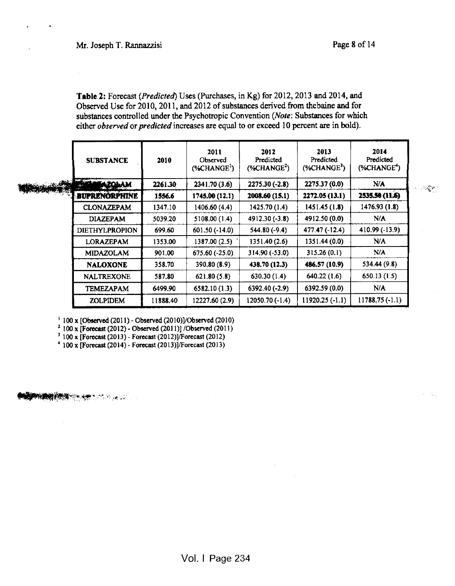'-v'

Table 2: Forecast (Predicted) Uses (Purchases, in Kg) for 2012, 2013 and 2014, and Observed Use for 2010, 2011, and 2012 of substances derived from thebaine and for substances controlled under the Psychotropic Convention (Note: Substances for which either observed or predicted increases are equal to or exceed 10 percent are in bold).

| <b>SUBSTANCE</b>      | 2010     | 2011<br>Observed<br>$(% ^{1})$ (%CHANGE <sup>1</sup> ) | 2012<br>Predicted<br>$(%ANCE^{2})$ | 2013<br>Predicted<br>$(\%CHANGE3)$ | 2014<br>Predicted<br>(%CHANGE <sup>+</sup> ) |
|-----------------------|----------|--------------------------------------------------------|------------------------------------|------------------------------------|----------------------------------------------|
|                       | 2261.30  | 2341.70(3.6)                                           | 2275.30 (-2.8)                     | 2275.37 (0.0)                      | N/A                                          |
| <b>BUPRENORPHINE</b>  | 1556.6   | 1745.00 (12.1)                                         | 2008.60 (15.1)                     | 2272.05 (13.1)                     | 2535.50 (11.6)                               |
| <b>CLONAZEPAM</b>     | 1347.10  | 1406.60 (4.4)                                          | 1425.70 (1.4)                      | 1451.45 (1.8)                      | 1476.93(1.8)                                 |
| <b>DIAZEPAM</b>       | 5039.20  | 5108.00 (1.4)                                          | 4912.30 (-3.8)                     | 4912.50 (0.0)                      | N/A                                          |
| <b>DIETHYLPROPION</b> | 699.60   | 601.50 (-14.0)                                         | 544.80 (-9.4)                      | 477.47 (-12.4)                     | 410.99 (-13.9)                               |
| <b>LORAZEPAM</b>      | 1353.00  | 1387.00(2.5)                                           | 1351.40 (2.6)                      | 1351.44 (0.0)                      | N/A                                          |
| <b>MIDAZOLAM</b>      | 901.00   | 675.60 (-25.0)                                         | 314.90 (-53.0)                     | 315.26(0.1)                        | N/A                                          |
| <b>NALOXONE</b>       | 358.70   | 390.80 (8.9)                                           | 438.70 (12.3)                      | 486.57 (10.9)                      | 534.44 (9.8)                                 |
| <b>NALTREXONE</b>     | 587.80   | 621.80(5.8)                                            | 630.30(1.4)                        | 640.22(1.6)                        | 650.13(1.5)                                  |
| <b>TEMEZAPAM</b>      | 6499.90  | 6582.10(1.3)                                           | 6392.40 (-2.9)                     | 6392.59 (0.0)                      | N/A                                          |
| <b>ZOLPIDEM</b>       | 11888.40 | 12227.60 (2.9)                                         | 12050.70 (-1.4)                    | $11920.25(-1.1)$                   | $11788.75(-1.1)$                             |

1100 <sup>x</sup> [Observed (201 1) - Observed (2010)]/Observed (2010)

3 100 <sup>x</sup> [Forecast (2012) - Observed (201 1)] /Observed (201 1)

3 100 <sup>x</sup> [Forecast (2013) - Forecast (2012)]/Forecast (2012)

4 100 <sup>x</sup> [Forecast (2014)- Forecast (201 3)]/Forccast (2013)

**A BARA BARA SA BADA DA BARA**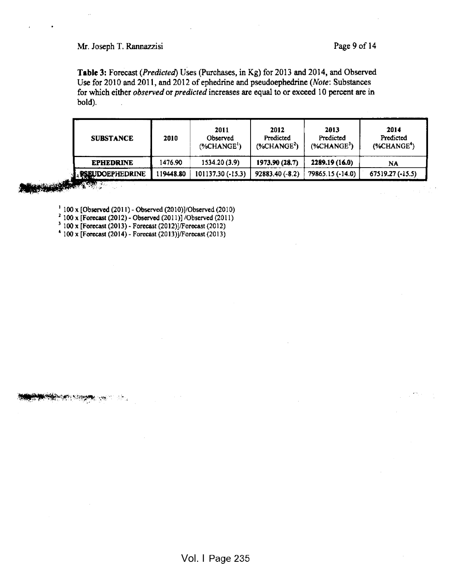# Mr. Joseph T. Rannazzisi Page 9 of 14

Table 3: Forecast (Predicted) Uses (Purchases, in Kg) for 2013 and 2014, and Observed Use for 2010 and 2011, and 2012 of ephedrine and pseudoephedrine (Note: Substances for which either observed or predicted increases are equal to or exceed 10 percent are in bold).

| <b>SUBSTANCE</b>          | 2010     | 2011<br>Observed<br>$(*CHANGE1)$ | 2012<br>Predicted<br>$(% ^{2})$ (%CHANGE <sup>2</sup> ) | 2013<br>Predicted<br>$(*CHANGE3)$ | 2014<br>Predicted<br>$(%ANCE^*)$ |
|---------------------------|----------|----------------------------------|---------------------------------------------------------|-----------------------------------|----------------------------------|
| <b>EPHEDRINE</b>          | 1476.90  | 1534.20(3.9)                     | 1973.90 (28.7)                                          | 2289.19 (16.0)                    | NA                               |
| <b>A. PSEUDOEPHEDRINE</b> | 19448.80 | 101137.30 (-15.3)                | 92883.40 (-8.2)                                         | 79865.15 (-14.0)                  | 67519.27 (-15.5)                 |

**THE REAL PROPERTY** 

**iffering the second state** 

 $\sim 10$ 

100 x [Observed (201 1) - Observed (2010)]/Observed (2010)

 $\frac{2}{100}$  x [Forecast (2012) - Observed (2011)] /Observed (2011)

 $3 \cdot 100 \times [\text{Forecast } (2013) - \text{Forecast } (2012)]/\text{Forecast } (2012)$ 

 $4 \cdot 100 \times$  [Forecast (2014) - Forecast (2013)]/Forecast (2013)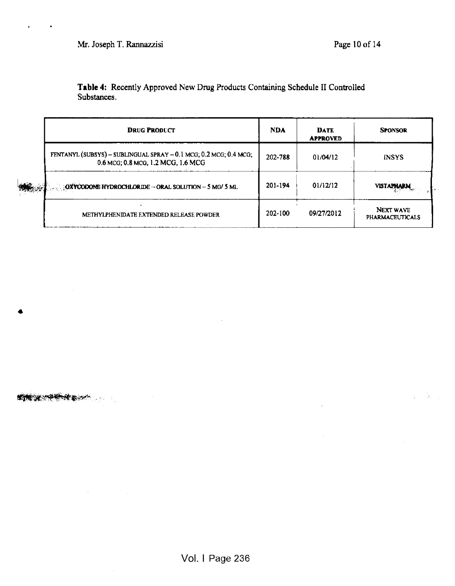«

C.'"~

 $\ddot{\phantom{a}}$ 

Table 4: Recently Approved New Drug Products Containing Schedule II Controlled Substances.

| <b>DRUG PRODUCT</b>                                                                                     | <b>NDA</b> | <b>DATE</b><br><b>APPROVED</b> | <b>SPONSOR</b>                      |
|---------------------------------------------------------------------------------------------------------|------------|--------------------------------|-------------------------------------|
| FENTANYL (SUBSYS) - SUBLINGUAL SPRAY - 0.1 MCG; 0.2 MCG; 0.4 MCG;<br>0.6 MCG; 0.8 MCG, 1.2 MCG, 1.6 MCG | 202-788    | 01/04/12                       | <b>INSYS</b>                        |
| $\therefore$ OXYCODONE HYDROCHLORIDE - ORAL SOLUTION - 5 MG/ 5 ML                                       | 201-194    | 01/12/12                       | <b>VISTAPHARM</b>                   |
| METHYLPHENIDATE EXTENDED RELEASE POWDER                                                                 | 202-100    | 09/27/2012                     | NEXT WAVE<br><b>PHARMACEUTICALS</b> |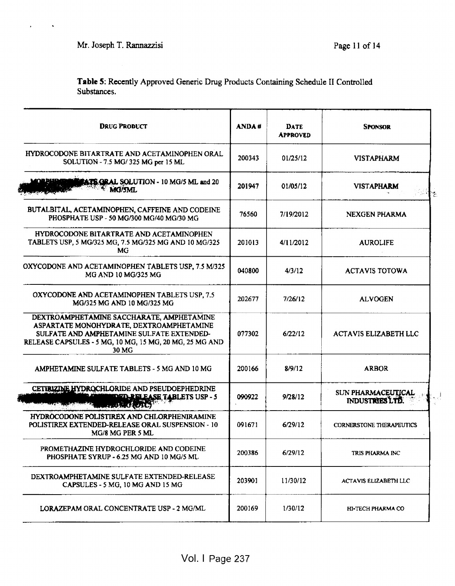$\mathbf{z} = \mathbf{z} + \mathbf{z}$  ,  $\mathbf{z} = \mathbf{z}$ 

Table 5: Recently Approved Generic Drug Products Containing Schedule II Controlled Substances.

| <b>ANDA#</b> | <b>DATE</b><br><b>APPROVED</b> | <b>SPONSOR</b>                        |
|--------------|--------------------------------|---------------------------------------|
| 200343       | 01/25/12                       | <b>VISTAPHARM</b>                     |
| 201947       | 01/05/12                       | <b>VISTAPHARM</b><br>ाः               |
| 76560        | 7/19/2012                      | NEXGEN PHARMA                         |
| 201013       | 4/11/2012                      | <b>AUROLIFE</b>                       |
| 040800       | 4/3/12                         | <b>ACTAVIS TOTOWA</b>                 |
| 202677       | 7/26/12                        | <b>ALVOGEN</b>                        |
| 077302       | 6/22/12                        | <b>ACTAVIS ELIZABETH LLC</b>          |
| 200166       | 8/9/12                         | <b>ARBOR</b>                          |
| 090922       | 9/28/12                        | SUN PHARMACEUTICAL<br>INDUSTRIES LTD. |
| 091671       | 6/29/12                        | <b>CORNERSTONE THERAPEUTICS</b>       |
| 200386       | 6/29/12                        | TRIS PHARMA INC                       |
| 203901       | 11/30/12                       | ACTAVIS ELIZABETH LLC                 |
| 200169       | 1/30/12                        | HI-TECH PHARMA CO                     |
|              |                                |                                       |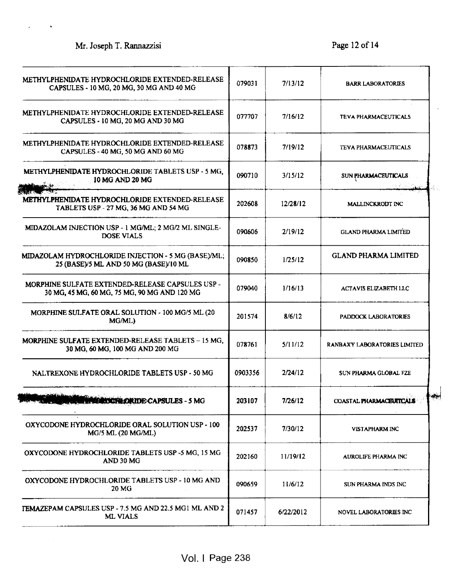$\overline{a}$ 

 $\bullet$ 

| METHYLPHENIDATE HYDROCHLORIDE EXTENDED-RELEASE<br>CAPSULES - 10 MG, 20 MG, 30 MG AND 40 MG       | 079031  | 7/13/12   | <b>BARR LABORATORIES</b>     |
|--------------------------------------------------------------------------------------------------|---------|-----------|------------------------------|
| METHYLPHENIDATE HYDROCHLORIDE EXTENDED-RELEASE<br>CAPSULES - 10 MG, 20 MG AND 30 MG              | 077707  | 7/16/12   | <b>TEVA PHARMACEUTICALS</b>  |
| METHYLPHENIDATE HYDROCHLORIDE EXTENDED-RELEASE<br>CAPSULES - 40 MG, 50 MG AND 60 MG              | 078873  | 7/19/12   | <b>TEVA PHARMACEUTICALS</b>  |
| METHYLPHENIDATE HYDROCHLORIDE TABLETS USP - 5 MG,<br>10 MG AND 20 MG                             | 090710  | 3/15/12   | SUN PHARMACEUTICALS          |
| METHYLPHENIDATE HYDROCHLORIDE EXTENDED-RELEASE<br>TABLETS USP - 27 MG, 36 MG AND 54 MG           | 202608  | 12/28/12  | MALLINCKRODT INC             |
| MIDAZOLAM INJECTION USP - 1 MG/ML; 2 MG/2 ML SINGLE-<br><b>DOSE VIALS</b>                        | 090606  | 2/19/12   | <b>GLAND PHARMA LIMITED</b>  |
| MIDAZOLAM HYDROCHLORIDE INJECTION - 5 MG (BASE)/ML;<br>25 (BASE)/5 ML AND 50 MG (BASE)/10 ML     | 090850  | 1/25/12   | <b>GLAND PHARMA LIMITED</b>  |
| MORPHINE SULFATE EXTENDED-RELEASE CAPSULES USP -<br>30 MG, 45 MG, 60 MG, 75 MG, 90 MG AND 120 MG | 079040  | 1/16/13   | <b>ACTAVIS ELIZABETH LLC</b> |
| MORPHINE SULFATE ORAL SOLUTION - 100 MG/5 ML (20<br>MG/ML)                                       | 201574  | 8/6/12    | PADDOCK LABORATORIES         |
| MORPHINE SULFATE EXTENDED-RELEASE TABLETS - 15 MG,<br>30 MG, 60 MG, 100 MG AND 200 MG            | 078761  | 5/11/12   | RANBAXY LABORATORIES LIMITED |
| NALTREXONE HYDROCHLORIDE TABLETS USP - 50 MG                                                     | 0903356 | 2/24/12   | SUN PHARMA GLOBAL FZE        |
| <b>NORTH STATE OF SECOND DRIDE CAPSULES - 5 MG</b>                                               | 203107  | 7/26/12   | COASTAL PHARMACEUTICALS      |
| OXYCODONE HYDROCHLORIDE ORAL SOLUTION USP - 100<br>MG/5 ML (20 MG/ML)                            | 202537  | 7/30/12   | VISTAPHARM INC               |
| OXYCODONE HYDROCHLORIDE TABLETS USP -5 MG, 15 MG<br>AND 30 MG                                    | 202160  | 11/19/12  | AUROLIFE PHARMA INC          |
| OXYCODONE HYDROCHLORIDE TABLETS USP - 10 MG AND<br>20 MG                                         | 090659  | 11/6/12   | SUN PHARMA INDS INC          |
| TEMAZEPAM CAPSULES USP - 7.5 MG AND 22.5 MG1 ML AND 2<br><b>ML VIALS</b>                         | 071457  | 6/22/2012 | NOVEL LABORATORIES INC       |
|                                                                                                  |         |           |                              |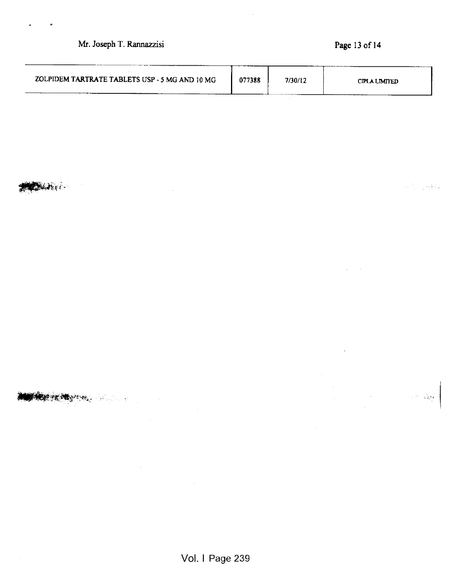# Mr. Joseph T. Rannazzisi Page 13 of 14

 $\overline{a}$ 

 $\alpha \in \{1,2,3,4,6,8,1\}$  .

 $\label{eq:1} \mathcal{L}^{\text{max}}_{\text{max}} \propto \sqrt{\frac{3}{2}} \sqrt{2}$ 

| ZOLPIDEM TARTRATE TABLETS USP - 5 MG AND 10 MG | 077388 | 7/30/12 | CIPLA LIMITED |
|------------------------------------------------|--------|---------|---------------|
|                                                |        |         |               |

.<• •

**The state of the company of the state of the state of the state of the state of the state of the state of the** 

 $\mathcal{A}^{\text{max}}_{\text{max}}$  $\frac{1}{2}$  .